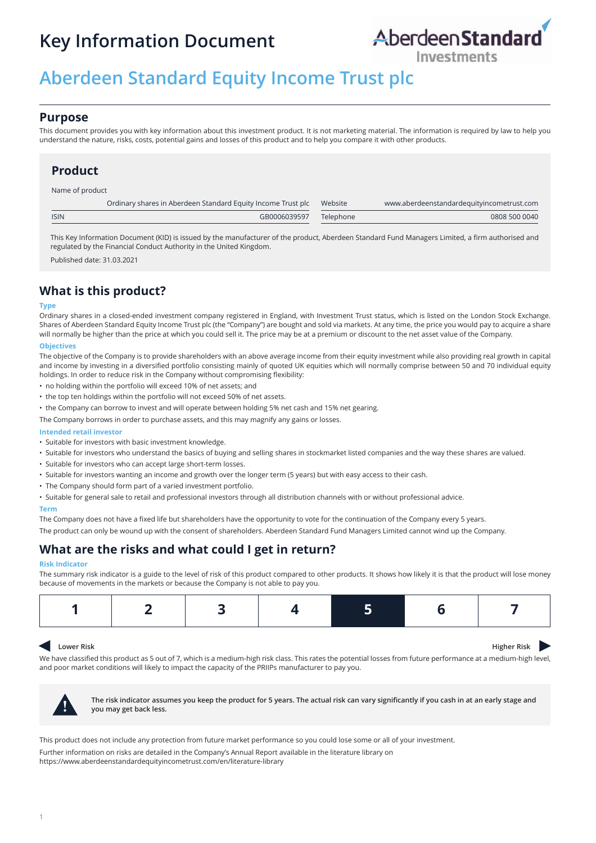# **Key Information Document**



## **Aberdeen Standard Equity Income Trust plc**

### **Purpose**

This document provides you with key information about this investment product. It is not marketing material. The information is required by law to help you understand the nature, risks, costs, potential gains and losses of this product and to help you compare it with other products.

### **Product**

Name of product

|             | Ordinary shares in Aberdeen Standard Equity Income Trust plc Website |           | www.aberdeenstandardequityincometrust.com |
|-------------|----------------------------------------------------------------------|-----------|-------------------------------------------|
| <b>ISIN</b> | GB0006039597                                                         | Telephone | 0808 500 0040                             |
|             |                                                                      |           |                                           |

This Key Information Document (KID) is issued by the manufacturer of the product, Aberdeen Standard Fund Managers Limited, a firm authorised and regulated by the Financial Conduct Authority in the United Kingdom.

Published date: 31.03.2021

### **What is this product?**

#### **Type**

Ordinary shares in a closed-ended investment company registered in England, with Investment Trust status, which is listed on the London Stock Exchange. Shares of Aberdeen Standard Equity Income Trust plc (the "Company") are bought and sold via markets. At any time, the price you would pay to acquire a share will normally be higher than the price at which you could sell it. The price may be at a premium or discount to the net asset value of the Company.

### **Objectives**

The objective of the Company is to provide shareholders with an above average income from their equity investment while also providing real growth in capital and income by investing in a diversified portfolio consisting mainly of quoted UK equities which will normally comprise between 50 and 70 individual equity holdings. In order to reduce risk in the Company without compromising flexibility:

- no holding within the portfolio will exceed 10% of net assets; and
- the top ten holdings within the portfolio will not exceed 50% of net assets.
- the Company can borrow to invest and will operate between holding 5% net cash and 15% net gearing.

The Company borrows in order to purchase assets, and this may magnify any gains or losses.

#### **Intended retail investor**

- Suitable for investors with basic investment knowledge.
- Suitable for investors who understand the basics of buying and selling shares in stockmarket listed companies and the way these shares are valued.
- Suitable for investors who can accept large short-term losses.
- Suitable for investors wanting an income and growth over the longer term (5 years) but with easy access to their cash.
- The Company should form part of a varied investment portfolio.
- Suitable for general sale to retail and professional investors through all distribution channels with or without professional advice.

#### **Term**

The Company does not have a fixed life but shareholders have the opportunity to vote for the continuation of the Company every 5 years.

The product can only be wound up with the consent of shareholders. Aberdeen Standard Fund Managers Limited cannot wind up the Company.

### **What are the risks and what could I get in return?**

#### **Risk Indicator**

The summary risk indicator is a guide to the level of risk of this product compared to other products. It shows how likely it is that the product will lose money because of movements in the markets or because the Company is not able to pay you.

|--|--|

#### $\blacktriangleleft$ **Lower Risk Higher Risk Higher Risk**

We have classified this product as 5 out of 7, which is a medium-high risk class. This rates the potential losses from future performance at a medium-high level, and poor market conditions will likely to impact the capacity of the PRIIPs manufacturer to pay you.



**! The risk indicator assumes you keep the product for 5 years. The actual risk can vary significantly if you cash in at an early stage and you may get back less.**

This product does not include any protection from future market performance so you could lose some or all of your investment.

Further information on risks are detailed in the Company's Annual Report available in the literature library on https://www.aberdeenstandardequityincometrust.com/en/literature-library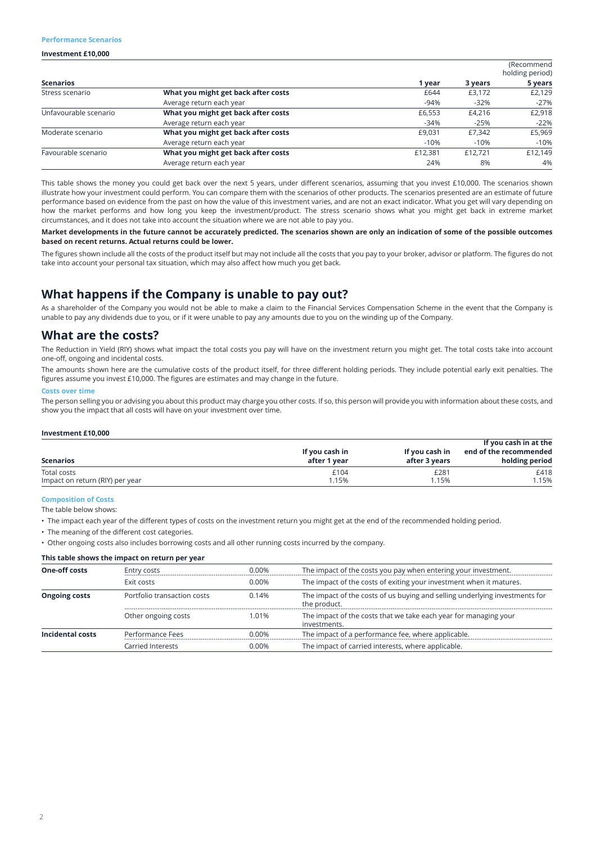#### **Performance Scenarios**

#### **Investment £10,000**

|                       |                                     |         |         | (Recommend<br>holding period) |  |
|-----------------------|-------------------------------------|---------|---------|-------------------------------|--|
| <b>Scenarios</b>      |                                     | 1 year  | 3 years | 5 years                       |  |
| Stress scenario       | What you might get back after costs | £644    | £3,172  | £2,129                        |  |
|                       | Average return each year            | $-94%$  | $-32%$  | $-27%$                        |  |
| Unfavourable scenario | What you might get back after costs | £6,553  | £4.216  | £2,918                        |  |
|                       | Average return each year            | $-34%$  | $-25%$  | $-22%$                        |  |
| Moderate scenario     | What you might get back after costs | £9.031  | £7,342  | £5,969                        |  |
|                       | Average return each year            | $-10%$  | $-10%$  | $-10%$                        |  |
| Favourable scenario   | What you might get back after costs | £12,381 | £12.721 | £12.149                       |  |
|                       | Average return each year            | 24%     | 8%      | 4%                            |  |

This table shows the money you could get back over the next 5 years, under different scenarios, assuming that you invest £10,000. The scenarios shown illustrate how your investment could perform. You can compare them with the scenarios of other products. The scenarios presented are an estimate of future performance based on evidence from the past on how the value of this investment varies, and are not an exact indicator. What you get will vary depending on how the market performs and how long you keep the investment/product. The stress scenario shows what you might get back in extreme market circumstances, and it does not take into account the situation where we are not able to pay you.

**Market developments in the future cannot be accurately predicted. The scenarios shown are only an indication of some of the possible outcomes based on recent returns. Actual returns could be lower.**

The figures shown include all the costs of the product itself but may not include all the costs that you pay to your broker, advisor or platform. The figures do not take into account your personal tax situation, which may also affect how much you get back.

### **What happens if the Company is unable to pay out?**

As a shareholder of the Company you would not be able to make a claim to the Financial Services Compensation Scheme in the event that the Company is unable to pay any dividends due to you, or if it were unable to pay any amounts due to you on the winding up of the Company.

### **What are the costs?**

The Reduction in Yield (RIY) shows what impact the total costs you pay will have on the investment return you might get. The total costs take into account one-off, ongoing and incidental costs.

The amounts shown here are the cumulative costs of the product itself, for three different holding periods. They include potential early exit penalties. The figures assume you invest £10,000. The figures are estimates and may change in the future.

#### **Costs over time**

The person selling you or advising you about this product may charge you other costs. If so, this person will provide you with information about these costs, and show you the impact that all costs will have on your investment over time.

#### **Investment £10,000**

| <b>Scenarios</b>                | If you cash in<br>after 1 year | If you cash in<br>after 3 years | If you cash in at the<br>end of the recommended<br>holding period |
|---------------------------------|--------------------------------|---------------------------------|-------------------------------------------------------------------|
| Total costs                     | £104                           | £281                            | £418                                                              |
| Impact on return (RIY) per year | 1.15%                          | 1.15%                           | 1.15%                                                             |

#### **Composition of Costs**

The table below shows:

• The impact each year of the different types of costs on the investment return you might get at the end of the recommended holding period.

• The meaning of the different cost categories.

• Other ongoing costs also includes borrowing costs and all other running costs incurred by the company.

#### **This table shows the impact on return per year**

| <b>One-off costs</b> | Entry costs                 | 0.00% | The impact of the costs you pay when entering your investment.                              |
|----------------------|-----------------------------|-------|---------------------------------------------------------------------------------------------|
|                      | Exit costs                  | 0.00% | The impact of the costs of exiting your investment when it matures.                         |
| <b>Ongoing costs</b> | Portfolio transaction costs | 0.14% | The impact of the costs of us buying and selling underlying investments for<br>the product. |
|                      | Other ongoing costs         | 1.01% | The impact of the costs that we take each year for managing your<br>investments.            |
| Incidental costs     | Performance Fees            | 0.00% | The impact of a performance fee, where applicable.                                          |
|                      | Carried Interests           | 0.00% | The impact of carried interests, where applicable.                                          |